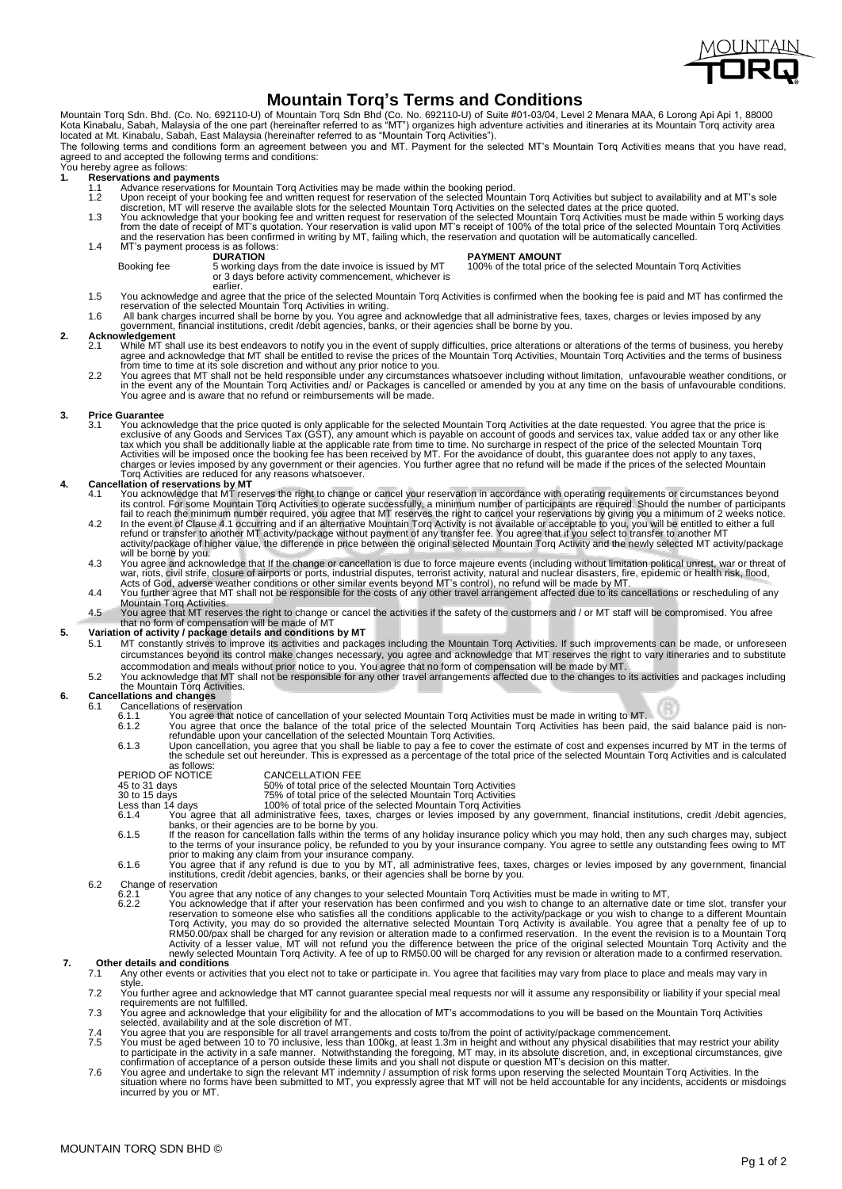

## **Mountain Torq's Terms and Conditions**

Mountain Torq Sdn. Bhd. (Co. No. 692110-U) of Mountain Torq Sdn Bhd (Co. No. 692110-U) of Suite #01-03/04, Level 2 Menara MAA, 6 Lorong Api Api 1, 88000<br>Kota Kinabalu, Sabah, Malaysia of the one part (hereinafter referred

The following terms and conditions form an agreement between you and MT. Payment for the selected MT's Mountain Torq Activities means that you have read, agreed to and accepted the following terms and conditions:

# Express to and accepted the N<br>You hereby agree as follows:<br>1. Reservations and pay

- -
- 1. Reservations and payments<br>
1.1 Advance reservations for Mountain Torq Activities may be made within the booking period.<br>
1.2 Upon receipt of your booking fee and written request for reservation of the selected Mountain

or 3 days before activity commencement, whichever is

Booking fee 5 working days from the date invoice is issued by MT 100% of the total price of the selected Mountain Torq Activities

- earlier.
	- 1.5 You acknowledge and agree that the price of the selected Mountain Torq Activities is confirmed when the booking fee is paid and MT has confirmed the<br>The servation of the selected Mountain Torq Activities in writing.<br>1.
- 

### **2. Acknowledgement**

- While MT shall use its best endeavors to notify you in the event of supply difficulties, price alterations or alterations of the terms of business, you hereby<br>agree and acknowledge that MT shall be entitled to revise the p
- You agree and is aware that no refund or reimbursements will be made.

### **3. Price Guarantee**

3.1 You acknowledge that the price quoted is only applicable for the selected Mountain Torq Activities at the date requested. You agree that the price is exclusive of any game of seculationally liable at the applicable rat

- 4.1 You acknowledge that MT reserves the right to change or cancel your reservation in accordance with operating requirements or circumstances beyond<br>
You acknowledge that MT reserves the right to cancel your reservation i
	-
	- will be borne by you.<br>4.3 You agree and acknowledge that If the change or cancellation is due to force majeure events (including without limitation political unrest, war or threat of war, riots, civil strife, closure of airports or ports, industrial disputes, terrorist activity, natural and nuclear disasters, fire, epidemic or health risk, flood,<br>Acts of God, adverse weather conditions or other similar
	- 4.4 You further agree that MT shall not be responsible for the costs of any other travel arrangement affected due to its cancellations or rescheduling of any
	- Mountain Torq Activities.<br>4.5 You agree that MT reserves the right to change or cancel the activities if the safety of the customers and / or MT staff will be compromised. You afree<br>that no form of compensation will be mad

- 5. Variation of activity / package details and conditions by MT<br>5.1 MT constantly strives to improve its activities and packages including the Mountain Torq Activities. If such improvements can be made, or unforeseen circumstances beyond its control make changes necessary, you agree and acknowledge that MT reserves the right to vary itineraries and to substitute
	- accommodation and meals without prior notice to you. You agree that no form of compensation will be made by MT.<br>5.2 You acknowledge that MT shall not be responsible for any other travel arrangements affected due to the cha the Mountain Torq Activities.

# **6. Cancellations and changes** 6.1 Cancellations of reservation

- -
	- 6.1.2 You agree that notice of cancellation of your selected Mountain Torq Activities must be made in writing to MT.<br>6.1.2 You agree that once the balance of the total price of the selected Mountain Torq Activities has bee
	-
	- as follows:<br>PERIOD OF NOTICE<br>45 to 31 days CANCELLATION FEE<br>50% of total price of the selected Mountain Torg Activities
		- -
	- 45 to 31 days<br>
	169% of total price of the selected Mountain Torq Activities<br>
	169% of total price of the selected Mountain Torq Activities<br>
	169% of total price of the selected Mountain Torq Activities<br>
	169% of total price o
	-
	- prior to making any claim from your insurance company.<br>6.1.6 You agree that if any refund is due to you by MT, all administrative fees, taxes, charges or levies imposed by any government, financial<br>institutions, credit /
- 6.2 Change of reservation<br>6.2.1 You agree to 6.2.2 You acknow
	-
- 6.2.1 You agree that any notice of any changes to your selected Mountain Torq Activities must be made in writing to MT,<br>6.2.2 You acknowledge that if after your reservation has been confirmed and you wish to change to an a reservation to someone else who satisfies all the conditions applicable to the activity/package or you wish to change to a different Mountain<br>Torq Activity, you may do so provided the alternative selected Mountain Torq Act

- 7.1 Any other events or activities that you elect not to take or participate in. You agree that facilities may vary from place to place and meals may vary in style.
	- 7.2 You further agree and acknowledge that MT cannot guarantee special meal requests nor will it assume any responsibility or liability if your special meal requirements are not fulfilled.
	- 7.3 You agree and acknowledge that your eligibility for and the allocation of MT's accommodations to you will be based on the Mountain Torq Activities selected, availability and at the sole discretion of MT.
	-
	- You agree that you are responsible for all travel arrangements and costs to/from the point of activity/package commencement.<br>T.5 You must be aged between 10 to 70 inclusive, less than 100kg, at least 1.3m in height and wit
	- incurred by you or MT.